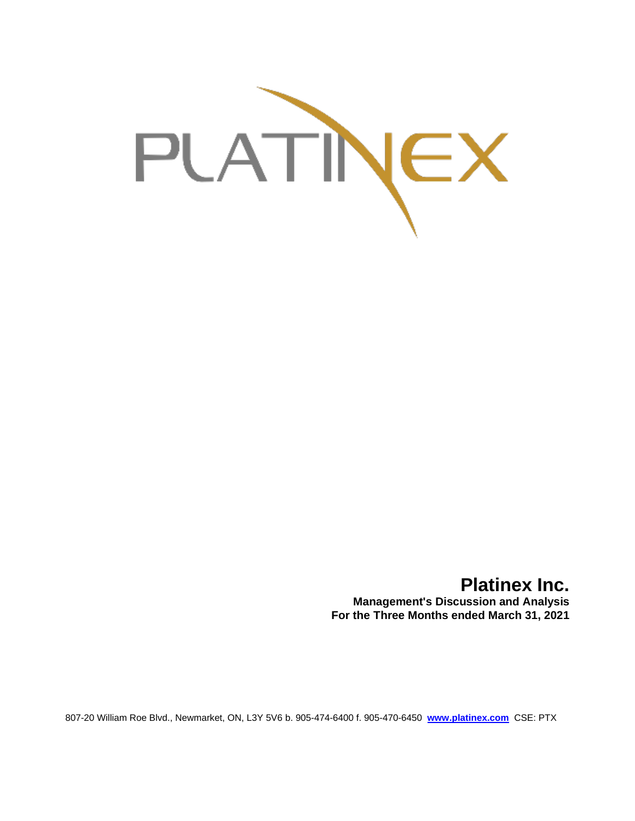

# **Platinex Inc.**

**Management's Discussion and Analysis For the Three Months ended March 31, 2021**

807-20 William Roe Blvd., Newmarket, ON, L3Y 5V6 b. 905-474-6400 f. 905-470-6450 **[www.platinex.com](http://www.platinex.com/)** CSE: PTX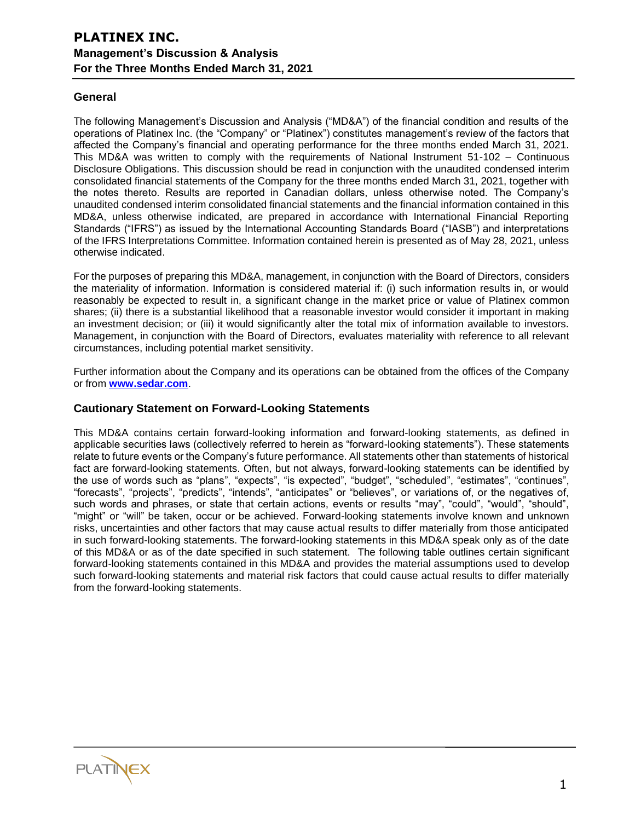# **General**

The following Management's Discussion and Analysis ("MD&A") of the financial condition and results of the operations of Platinex Inc. (the "Company" or "Platinex") constitutes management's review of the factors that affected the Company's financial and operating performance for the three months ended March 31, 2021. This MD&A was written to comply with the requirements of National Instrument 51-102 – Continuous Disclosure Obligations. This discussion should be read in conjunction with the unaudited condensed interim consolidated financial statements of the Company for the three months ended March 31, 2021, together with the notes thereto. Results are reported in Canadian dollars, unless otherwise noted. The Company's unaudited condensed interim consolidated financial statements and the financial information contained in this MD&A, unless otherwise indicated, are prepared in accordance with International Financial Reporting Standards ("IFRS") as issued by the International Accounting Standards Board ("IASB") and interpretations of the IFRS Interpretations Committee. Information contained herein is presented as of May 28, 2021, unless otherwise indicated.

For the purposes of preparing this MD&A, management, in conjunction with the Board of Directors, considers the materiality of information. Information is considered material if: (i) such information results in, or would reasonably be expected to result in, a significant change in the market price or value of Platinex common shares; (ii) there is a substantial likelihood that a reasonable investor would consider it important in making an investment decision; or (iii) it would significantly alter the total mix of information available to investors. Management, in conjunction with the Board of Directors, evaluates materiality with reference to all relevant circumstances, including potential market sensitivity.

Further information about the Company and its operations can be obtained from the offices of the Company or from **[www.sedar.com](http://www.sedar.com/)**.

## **Cautionary Statement on Forward-Looking Statements**

This MD&A contains certain forward-looking information and forward-looking statements, as defined in applicable securities laws (collectively referred to herein as "forward-looking statements"). These statements relate to future events or the Company's future performance. All statements other than statements of historical fact are forward-looking statements. Often, but not always, forward-looking statements can be identified by the use of words such as "plans", "expects", "is expected", "budget", "scheduled", "estimates", "continues", "forecasts", "projects", "predicts", "intends", "anticipates" or "believes", or variations of, or the negatives of, such words and phrases, or state that certain actions, events or results "may", "could", "would", "should", "might" or "will" be taken, occur or be achieved. Forward-looking statements involve known and unknown risks, uncertainties and other factors that may cause actual results to differ materially from those anticipated in such forward-looking statements. The forward-looking statements in this MD&A speak only as of the date of this MD&A or as of the date specified in such statement. The following table outlines certain significant forward-looking statements contained in this MD&A and provides the material assumptions used to develop such forward-looking statements and material risk factors that could cause actual results to differ materially from the forward-looking statements.

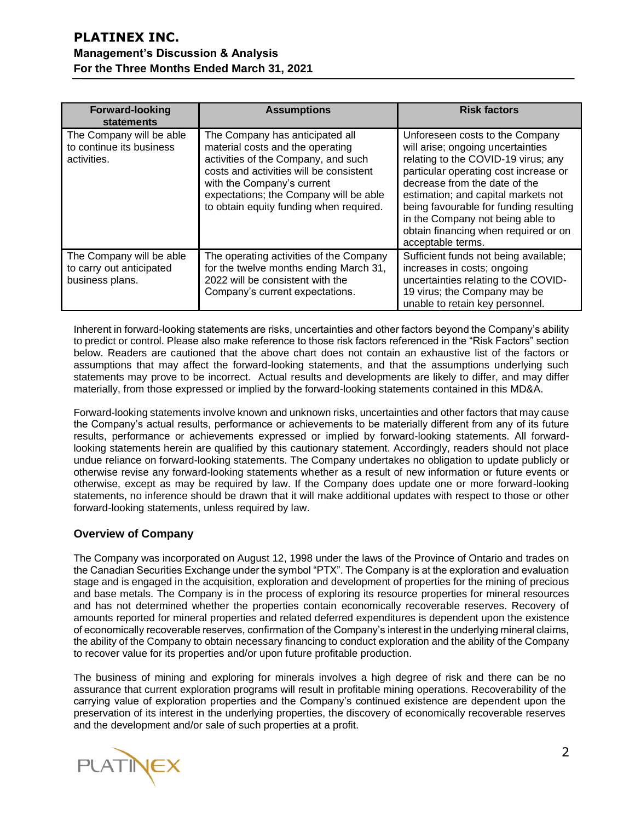| <b>Forward-looking</b><br>statements                                    | <b>Assumptions</b>                                                                                                                                                                                                                                                       | <b>Risk factors</b>                                                                                                                                                                                                                                                                                                                                                     |
|-------------------------------------------------------------------------|--------------------------------------------------------------------------------------------------------------------------------------------------------------------------------------------------------------------------------------------------------------------------|-------------------------------------------------------------------------------------------------------------------------------------------------------------------------------------------------------------------------------------------------------------------------------------------------------------------------------------------------------------------------|
| The Company will be able<br>to continue its business<br>activities.     | The Company has anticipated all<br>material costs and the operating<br>activities of the Company, and such<br>costs and activities will be consistent<br>with the Company's current<br>expectations; the Company will be able<br>to obtain equity funding when required. | Unforeseen costs to the Company<br>will arise; ongoing uncertainties<br>relating to the COVID-19 virus; any<br>particular operating cost increase or<br>decrease from the date of the<br>estimation; and capital markets not<br>being favourable for funding resulting<br>in the Company not being able to<br>obtain financing when required or on<br>acceptable terms. |
| The Company will be able<br>to carry out anticipated<br>business plans. | The operating activities of the Company<br>for the twelve months ending March 31,<br>2022 will be consistent with the<br>Company's current expectations.                                                                                                                 | Sufficient funds not being available;<br>increases in costs; ongoing<br>uncertainties relating to the COVID-<br>19 virus; the Company may be<br>unable to retain key personnel.                                                                                                                                                                                         |

Inherent in forward-looking statements are risks, uncertainties and other factors beyond the Company's ability to predict or control. Please also make reference to those risk factors referenced in the "Risk Factors" section below. Readers are cautioned that the above chart does not contain an exhaustive list of the factors or assumptions that may affect the forward-looking statements, and that the assumptions underlying such statements may prove to be incorrect. Actual results and developments are likely to differ, and may differ materially, from those expressed or implied by the forward-looking statements contained in this MD&A.

Forward-looking statements involve known and unknown risks, uncertainties and other factors that may cause the Company's actual results, performance or achievements to be materially different from any of its future results, performance or achievements expressed or implied by forward-looking statements. All forwardlooking statements herein are qualified by this cautionary statement. Accordingly, readers should not place undue reliance on forward-looking statements. The Company undertakes no obligation to update publicly or otherwise revise any forward-looking statements whether as a result of new information or future events or otherwise, except as may be required by law. If the Company does update one or more forward-looking statements, no inference should be drawn that it will make additional updates with respect to those or other forward-looking statements, unless required by law.

# **Overview of Company**

The Company was incorporated on August 12, 1998 under the laws of the Province of Ontario and trades on the Canadian Securities Exchange under the symbol "PTX". The Company is at the exploration and evaluation stage and is engaged in the acquisition, exploration and development of properties for the mining of precious and base metals. The Company is in the process of exploring its resource properties for mineral resources and has not determined whether the properties contain economically recoverable reserves. Recovery of amounts reported for mineral properties and related deferred expenditures is dependent upon the existence of economically recoverable reserves, confirmation of the Company's interest in the underlying mineral claims, the ability of the Company to obtain necessary financing to conduct exploration and the ability of the Company to recover value for its properties and/or upon future profitable production.

The business of mining and exploring for minerals involves a high degree of risk and there can be no assurance that current exploration programs will result in profitable mining operations. Recoverability of the carrying value of exploration properties and the Company's continued existence are dependent upon the preservation of its interest in the underlying properties, the discovery of economically recoverable reserves and the development and/or sale of such properties at a profit.

**PLATINEX**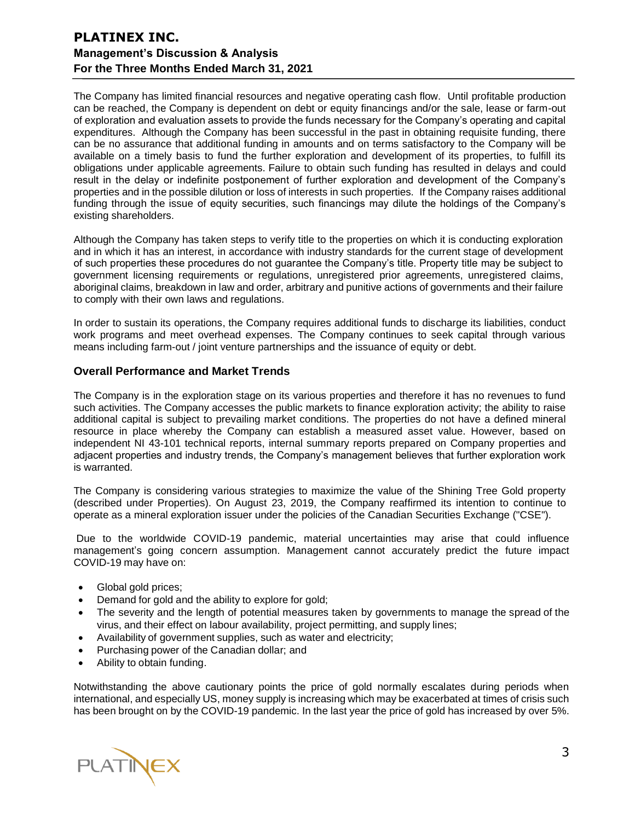The Company has limited financial resources and negative operating cash flow. Until profitable production can be reached, the Company is dependent on debt or equity financings and/or the sale, lease or farm-out of exploration and evaluation assets to provide the funds necessary for the Company's operating and capital expenditures. Although the Company has been successful in the past in obtaining requisite funding, there can be no assurance that additional funding in amounts and on terms satisfactory to the Company will be available on a timely basis to fund the further exploration and development of its properties, to fulfill its obligations under applicable agreements. Failure to obtain such funding has resulted in delays and could result in the delay or indefinite postponement of further exploration and development of the Company's properties and in the possible dilution or loss of interests in such properties. If the Company raises additional funding through the issue of equity securities, such financings may dilute the holdings of the Company's existing shareholders.

Although the Company has taken steps to verify title to the properties on which it is conducting exploration and in which it has an interest, in accordance with industry standards for the current stage of development of such properties these procedures do not guarantee the Company's title. Property title may be subject to government licensing requirements or regulations, unregistered prior agreements, unregistered claims, aboriginal claims, breakdown in law and order, arbitrary and punitive actions of governments and their failure to comply with their own laws and regulations.

In order to sustain its operations, the Company requires additional funds to discharge its liabilities, conduct work programs and meet overhead expenses. The Company continues to seek capital through various means including farm-out / joint venture partnerships and the issuance of equity or debt.

# **Overall Performance and Market Trends**

The Company is in the exploration stage on its various properties and therefore it has no revenues to fund such activities. The Company accesses the public markets to finance exploration activity; the ability to raise additional capital is subject to prevailing market conditions. The properties do not have a defined mineral resource in place whereby the Company can establish a measured asset value. However, based on independent NI 43-101 technical reports, internal summary reports prepared on Company properties and adjacent properties and industry trends, the Company's management believes that further exploration work is warranted.

The Company is considering various strategies to maximize the value of the Shining Tree Gold property (described under Properties). On August 23, 2019, the Company reaffirmed its intention to continue to operate as a mineral exploration issuer under the policies of the Canadian Securities Exchange ("CSE").

Due to the worldwide COVID-19 pandemic, material uncertainties may arise that could influence management's going concern assumption. Management cannot accurately predict the future impact COVID-19 may have on:

- Global gold prices;
- Demand for gold and the ability to explore for gold;
- The severity and the length of potential measures taken by governments to manage the spread of the virus, and their effect on labour availability, project permitting, and supply lines;
- Availabilityof government supplies, such as water and electricity;
- Purchasing power of the Canadian dollar; and
- Ability to obtain funding.

Notwithstanding the above cautionary points the price of gold normally escalates during periods when international, and especially US, money supply is increasing which may be exacerbated at times of crisis such has been brought on by the COVID-19 pandemic. In the last year the price of gold has increased by over 5%.

**PLATINEX**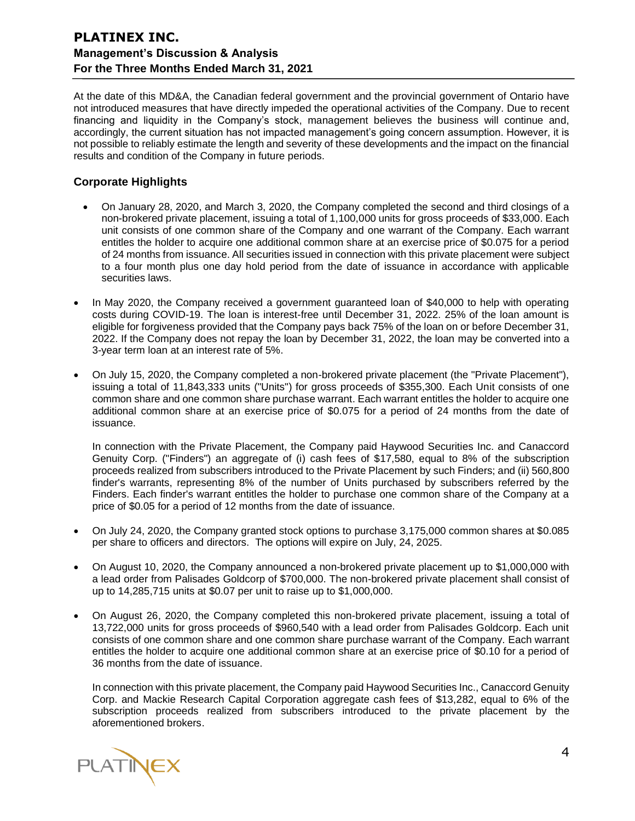At the date of this MD&A, the Canadian federal government and the provincial government of Ontario have not introduced measures that have directly impeded the operational activities of the Company. Due to recent financing and liquidity in the Company's stock, management believes the business will continue and, accordingly, the current situation has not impacted management's going concern assumption. However, it is not possible to reliably estimate the length and severity of these developments and the impact on the financial results and condition of the Company in future periods.

# **Corporate Highlights**

- On January 28, 2020, and March 3, 2020, the Company completed the second and third closings of a non-brokered private placement, issuing a total of 1,100,000 units for gross proceeds of \$33,000. Each unit consists of one common share of the Company and one warrant of the Company. Each warrant entitles the holder to acquire one additional common share at an exercise price of \$0.075 for a period of 24 months from issuance. All securities issued in connection with this private placement were subject to a four month plus one day hold period from the date of issuance in accordance with applicable securities laws.
- In May 2020, the Company received a government guaranteed loan of \$40,000 to help with operating costs during COVID-19. The loan is interest-free until December 31, 2022. 25% of the loan amount is eligible for forgiveness provided that the Company pays back 75% of the loan on or before December 31, 2022. If the Company does not repay the loan by December 31, 2022, the loan may be converted into a 3-year term loan at an interest rate of 5%.
- On July 15, 2020, the Company completed a non-brokered private placement (the "Private Placement"), issuing a total of 11,843,333 units ("Units") for gross proceeds of \$355,300. Each Unit consists of one common share and one common share purchase warrant. Each warrant entitles the holder to acquire one additional common share at an exercise price of \$0.075 for a period of 24 months from the date of issuance.

In connection with the Private Placement, the Company paid Haywood Securities Inc. and Canaccord Genuity Corp. ("Finders") an aggregate of (i) cash fees of \$17,580, equal to 8% of the subscription proceeds realized from subscribers introduced to the Private Placement by such Finders; and (ii) 560,800 finder's warrants, representing 8% of the number of Units purchased by subscribers referred by the Finders. Each finder's warrant entitles the holder to purchase one common share of the Company at a price of \$0.05 for a period of 12 months from the date of issuance.

- On July 24, 2020, the Company granted stock options to purchase 3,175,000 common shares at \$0.085 per share to officers and directors. The options will expire on July, 24, 2025.
- On August 10, 2020, the Company announced a non-brokered private placement up to \$1,000,000 with a lead order from Palisades Goldcorp of \$700,000. The non-brokered private placement shall consist of up to 14,285,715 units at \$0.07 per unit to raise up to \$1,000,000.
- On August 26, 2020, the Company completed this non-brokered private placement, issuing a total of 13,722,000 units for gross proceeds of \$960,540 with a lead order from Palisades Goldcorp. Each unit consists of one common share and one common share purchase warrant of the Company. Each warrant entitles the holder to acquire one additional common share at an exercise price of \$0.10 for a period of 36 months from the date of issuance.

In connection with this private placement, the Company paid Haywood Securities Inc., Canaccord Genuity Corp. and Mackie Research Capital Corporation aggregate cash fees of \$13,282, equal to 6% of the subscription proceeds realized from subscribers introduced to the private placement by the aforementioned brokers.

**PLATINEX**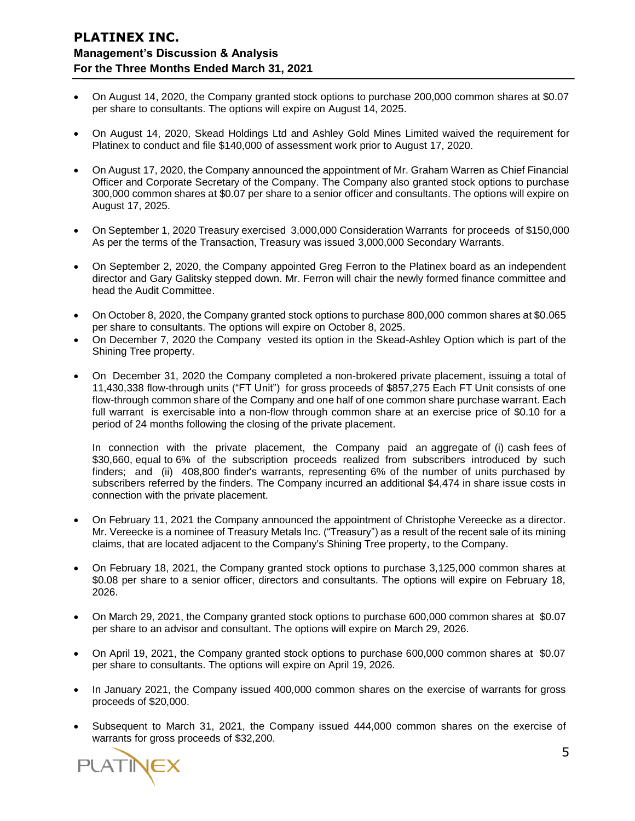- On August 14, 2020, the Company granted stock options to purchase 200,000 common shares at \$0.07 per share to consultants. The options will expire on August 14, 2025.
- On August 14, 2020, Skead Holdings Ltd and Ashley Gold Mines Limited waived the requirement for Platinex to conduct and file \$140,000 of assessment work prior to August 17, 2020.
- On August 17, 2020, the Company announced the appointment of Mr. Graham Warren as Chief Financial Officer and Corporate Secretary of the Company. The Company also granted stock options to purchase 300,000 common shares at \$0.07 per share to a senior officer and consultants. The options will expire on August 17, 2025.
- On September 1, 2020 Treasury exercised 3,000,000 Consideration Warrants for proceeds of \$150,000 As per the terms of the Transaction, Treasury was issued 3,000,000 Secondary Warrants.
- On September 2, 2020, the Company appointed Greg Ferron to the Platinex board as an independent director and Gary Galitsky stepped down. Mr. Ferron will chair the newly formed finance committee and head the Audit Committee.
- On October 8, 2020, the Company granted stock options to purchase 800,000 common shares at \$0.065 per share to consultants. The options will expire on October 8, 2025.
- On December 7, 2020 the Company vested its option in the Skead-Ashley Option which is part of the Shining Tree property.
- On December 31, 2020 the Company completed a non-brokered private placement, issuing a total of 11,430,338 flow-through units ("FT Unit") for gross proceeds of \$857,275 Each FT Unit consists of one flow-through common share of the Company and one half of one common share purchase warrant. Each full warrant is exercisable into a non-flow through common share at an exercise price of \$0.10 for a period of 24 months following the closing of the private placement.

In connection with the private placement, the Company paid an aggregate of (i) cash fees of \$30,660, equal to 6% of the subscription proceeds realized from subscribers introduced by such finders; and (ii) 408,800 finder's warrants, representing 6% of the number of units purchased by subscribers referred by the finders. The Company incurred an additional \$4,474 in share issue costs in connection with the private placement.

- On February 11, 2021 the Company announced the appointment of Christophe Vereecke as a director. Mr. Vereecke is a nominee of Treasury Metals Inc. ("Treasury") as a result of the recent sale of its mining claims, that are located adjacent to the Company's Shining Tree property, to the Company.
- On February 18, 2021, the Company granted stock options to purchase 3,125,000 common shares at \$0.08 per share to a senior officer, directors and consultants. The options will expire on February 18, 2026.
- On March 29, 2021, the Company granted stock options to purchase 600,000 common shares at \$0.07 per share to an advisor and consultant. The options will expire on March 29, 2026.
- On April 19, 2021, the Company granted stock options to purchase 600,000 common shares at \$0.07 per share to consultants. The options will expire on April 19, 2026.
- In January 2021, the Company issued 400,000 common shares on the exercise of warrants for gross proceeds of \$20,000.
- Subsequent to March 31, 2021, the Company issued 444,000 common shares on the exercise of warrants for gross proceeds of \$32,200.

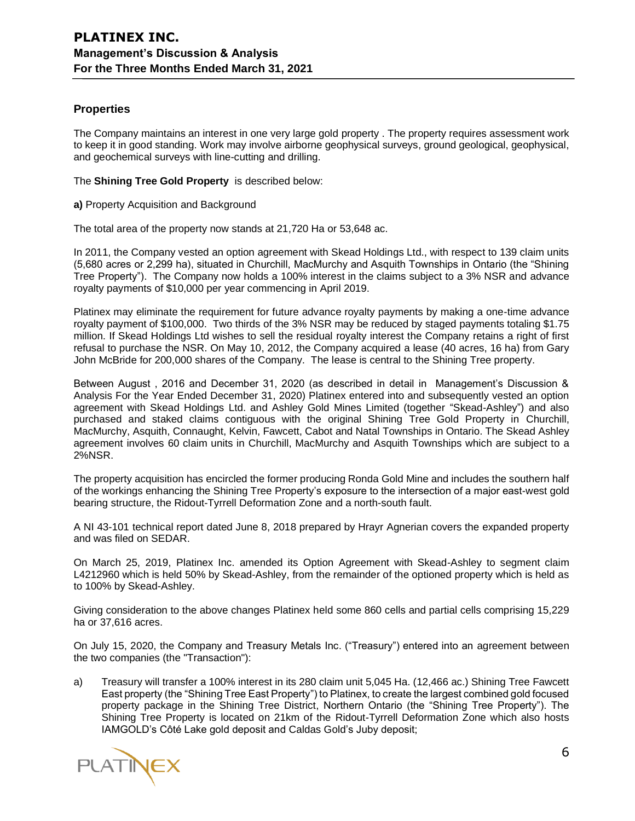# **Properties**

The Company maintains an interest in one very large gold property . The property requires assessment work to keep it in good standing. Work may involve airborne geophysical surveys, ground geological, geophysical, and geochemical surveys with line-cutting and drilling.

The **Shining Tree Gold Property** is described below:

**a)** Property Acquisition and Background

The total area of the property now stands at 21,720 Ha or 53,648 ac.

In 2011, the Company vested an option agreement with Skead Holdings Ltd., with respect to 139 claim units (5,680 acres or 2,299 ha), situated in Churchill, MacMurchy and Asquith Townships in Ontario (the "Shining Tree Property"). The Company now holds a 100% interest in the claims subject to a 3% NSR and advance royalty payments of \$10,000 per year commencing in April 2019.

Platinex may eliminate the requirement for future advance royalty payments by making a one-time advance royalty payment of \$100,000. Two thirds of the 3% NSR may be reduced by staged payments totaling \$1.75 million. If Skead Holdings Ltd wishes to sell the residual royalty interest the Company retains a right of first refusal to purchase the NSR. On May 10, 2012, the Company acquired a lease (40 acres, 16 ha) from Gary John McBride for 200,000 shares of the Company. The lease is central to the Shining Tree property.

Between August , 2016 and December 31, 2020 (as described in detail in Management's Discussion & Analysis For the Year Ended December 31, 2020) Platinex entered into and subsequently vested an option agreement with Skead Holdings Ltd. and Ashley Gold Mines Limited (together "Skead-Ashley") and also purchased and staked claims contiguous with the original Shining Tree Gold Property in Churchill, MacMurchy, Asquith, Connaught, Kelvin, Fawcett, Cabot and Natal Townships in Ontario. The Skead Ashley agreement involves 60 claim units in Churchill, MacMurchy and Asquith Townships which are subject to a 2%NSR.

The property acquisition has encircled the former producing Ronda Gold Mine and includes the southern half of the workings enhancing the Shining Tree Property's exposure to the intersection of a major east-west gold bearing structure, the Ridout-Tyrrell Deformation Zone and a north-south fault.

A NI 43-101 technical report dated June 8, 2018 prepared by Hrayr Agnerian covers the expanded property and was filed on SEDAR.

On March 25, 2019, Platinex Inc. amended its Option Agreement with Skead-Ashley to segment claim L4212960 which is held 50% by Skead-Ashley, from the remainder of the optioned property which is held as to 100% by Skead-Ashley.

Giving consideration to the above changes Platinex held some 860 cells and partial cells comprising 15,229 ha or 37,616 acres.

On July 15, 2020, the Company and Treasury Metals Inc. ("Treasury") entered into an agreement between the two companies (the "Transaction"):

a) Treasury will transfer a 100% interest in its 280 claim unit 5,045 Ha. (12,466 ac.) Shining Tree Fawcett East property (the "Shining Tree East Property") to Platinex, to create the largest combined gold focused property package in the Shining Tree District, Northern Ontario (the "Shining Tree Property"). The Shining Tree Property is located on 21km of the Ridout-Tyrrell Deformation Zone which also hosts IAMGOLD's Côté Lake gold deposit and Caldas Gold's Juby deposit;

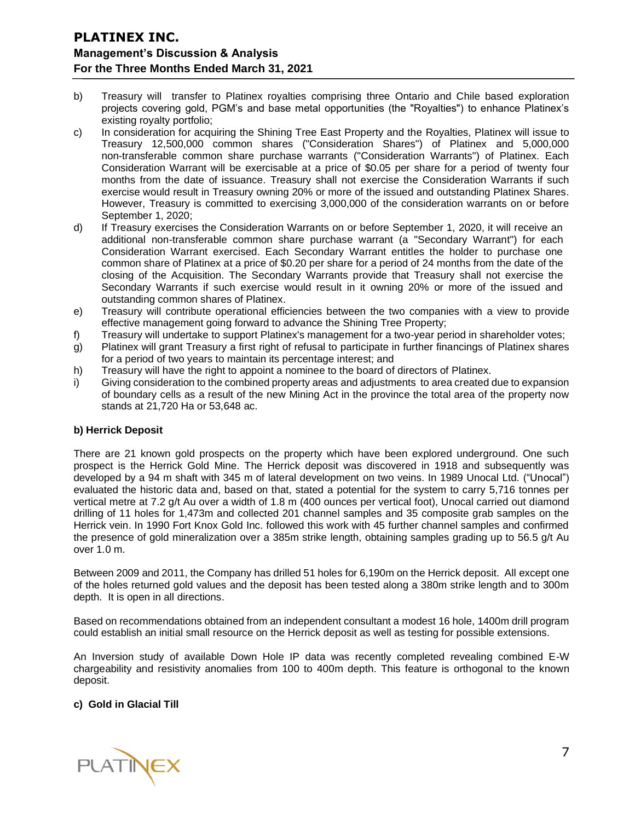- b) Treasury will transfer to Platinex royalties comprising three Ontario and Chile based exploration projects covering gold, PGM's and base metal opportunities (the "Royalties") to enhance Platinex's existing royalty portfolio;
- c) In consideration for acquiring the Shining Tree East Property and the Royalties, Platinex will issue to Treasury 12,500,000 common shares ("Consideration Shares") of Platinex and 5,000,000 non-transferable common share purchase warrants ("Consideration Warrants") of Platinex. Each Consideration Warrant will be exercisable at a price of \$0.05 per share for a period of twenty four months from the date of issuance. Treasury shall not exercise the Consideration Warrants if such exercise would result in Treasury owning 20% or more of the issued and outstanding Platinex Shares. However, Treasury is committed to exercising 3,000,000 of the consideration warrants on or before September 1, 2020;
- d) If Treasury exercises the Consideration Warrants on or before September 1, 2020, it will receive an additional non-transferable common share purchase warrant (a "Secondary Warrant") for each Consideration Warrant exercised. Each Secondary Warrant entitles the holder to purchase one common share of Platinex at a price of \$0.20 per share for a period of 24 months from the date of the closing of the Acquisition. The Secondary Warrants provide that Treasury shall not exercise the Secondary Warrants if such exercise would result in it owning 20% or more of the issued and outstanding common shares of Platinex.
- e) Treasury will contribute operational efficiencies between the two companies with a view to provide effective management going forward to advance the Shining Tree Property;
- f) Treasury will undertake to support Platinex's management for a two-year period in shareholder votes;
- g) Platinex will grant Treasury a first right of refusal to participate in further financings of Platinex shares for a period of two years to maintain its percentage interest; and
- h) Treasury will have the right to appoint a nominee to the board of directors of Platinex.
- i) Giving consideration to the combined property areas and adjustments to area created due to expansion of boundary cells as a result of the new Mining Act in the province the total area of the property now stands at 21,720 Ha or 53,648 ac.

#### **b) Herrick Deposit**

There are 21 known gold prospects on the property which have been explored underground. One such prospect is the Herrick Gold Mine. The Herrick deposit was discovered in 1918 and subsequently was developed by a 94 m shaft with 345 m of lateral development on two veins. In 1989 Unocal Ltd. ("Unocal") evaluated the historic data and, based on that, stated a potential for the system to carry 5,716 tonnes per vertical metre at 7.2 g/t Au over a width of 1.8 m (400 ounces per vertical foot), Unocal carried out diamond drilling of 11 holes for 1,473m and collected 201 channel samples and 35 composite grab samples on the Herrick vein. In 1990 Fort Knox Gold Inc. followed this work with 45 further channel samples and confirmed the presence of gold mineralization over a 385m strike length, obtaining samples grading up to 56.5 g/t Au over 1.0 m.

Between 2009 and 2011, the Company has drilled 51 holes for 6,190m on the Herrick deposit. All except one of the holes returned gold values and the deposit has been tested along a 380m strike length and to 300m depth. It is open in all directions.

Based on recommendations obtained from an independent consultant a modest 16 hole, 1400m drill program could establish an initial small resource on the Herrick deposit as well as testing for possible extensions.

An Inversion study of available Down Hole IP data was recently completed revealing combined E-W chargeability and resistivity anomalies from 100 to 400m depth. This feature is orthogonal to the known deposit.

#### **c) Gold in Glacial Till**

**PLATINEX**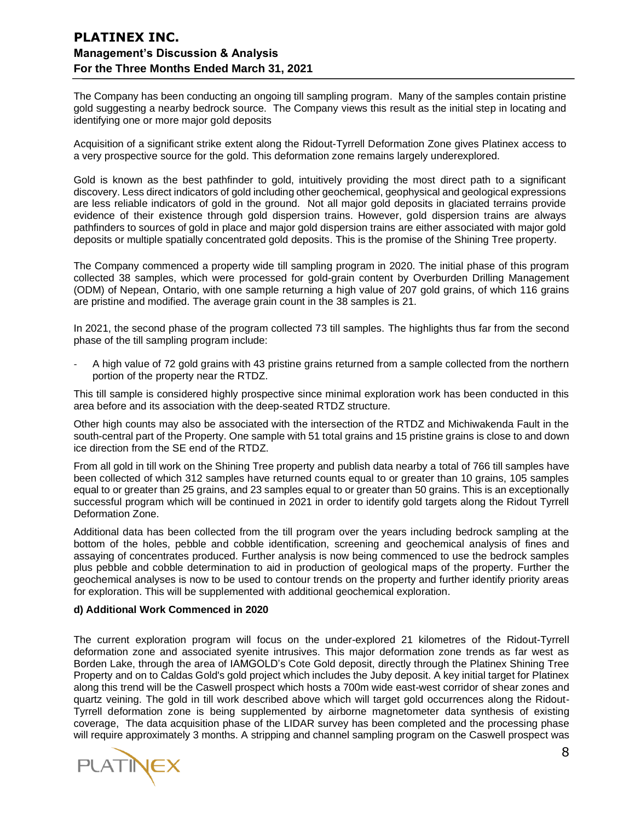The Company has been conducting an ongoing till sampling program. Many of the samples contain pristine gold suggesting a nearby bedrock source. The Company views this result as the initial step in locating and identifying one or more major gold deposits

Acquisition of a significant strike extent along the Ridout-Tyrrell Deformation Zone gives Platinex access to a very prospective source for the gold. This deformation zone remains largely underexplored.

Gold is known as the best pathfinder to gold, intuitively providing the most direct path to a significant discovery. Less direct indicators of gold including other geochemical, geophysical and geological expressions are less reliable indicators of gold in the ground. Not all major gold deposits in glaciated terrains provide evidence of their existence through gold dispersion trains. However, gold dispersion trains are always pathfinders to sources of gold in place and major gold dispersion trains are either associated with major gold deposits or multiple spatially concentrated gold deposits. This is the promise of the Shining Tree property.

The Company commenced a property wide till sampling program in 2020. The initial phase of this program collected 38 samples, which were processed for gold-grain content by Overburden Drilling Management (ODM) of Nepean, Ontario, with one sample returning a high value of 207 gold grains, of which 116 grains are pristine and modified. The average grain count in the 38 samples is 21.

In 2021, the second phase of the program collected 73 till samples. The highlights thus far from the second phase of the till sampling program include:

- A high value of 72 gold grains with 43 pristine grains returned from a sample collected from the northern portion of the property near the RTDZ.

This till sample is considered highly prospective since minimal exploration work has been conducted in this area before and its association with the deep-seated RTDZ structure.

Other high counts may also be associated with the intersection of the RTDZ and Michiwakenda Fault in the south-central part of the Property. One sample with 51 total grains and 15 pristine grains is close to and down ice direction from the SE end of the RTDZ.

From all gold in till work on the Shining Tree property and publish data nearby a total of 766 till samples have been collected of which 312 samples have returned counts equal to or greater than 10 grains, 105 samples equal to or greater than 25 grains, and 23 samples equal to or greater than 50 grains. This is an exceptionally successful program which will be continued in 2021 in order to identify gold targets along the Ridout Tyrrell Deformation Zone.

Additional data has been collected from the till program over the years including bedrock sampling at the bottom of the holes, pebble and cobble identification, screening and geochemical analysis of fines and assaying of concentrates produced. Further analysis is now being commenced to use the bedrock samples plus pebble and cobble determination to aid in production of geological maps of the property. Further the geochemical analyses is now to be used to contour trends on the property and further identify priority areas for exploration. This will be supplemented with additional geochemical exploration.

#### **d) Additional Work Commenced in 2020**

The current exploration program will focus on the under-explored 21 kilometres of the Ridout-Tyrrell deformation zone and associated syenite intrusives. This major deformation zone trends as far west as Borden Lake, through the area of IAMGOLD's Cote Gold deposit, directly through the Platinex Shining Tree Property and on to Caldas Gold's gold project which includes the Juby deposit. A key initial target for Platinex along this trend will be the Caswell prospect which hosts a 700m wide east-west corridor of shear zones and quartz veining. The gold in till work described above which will target gold occurrences along the Ridout-Tyrrell deformation zone is being supplemented by airborne magnetometer data synthesis of existing coverage, The data acquisition phase of the LIDAR survey has been completed and the processing phase will require approximately 3 months. A stripping and channel sampling program on the Caswell prospect was

**PLATINEX**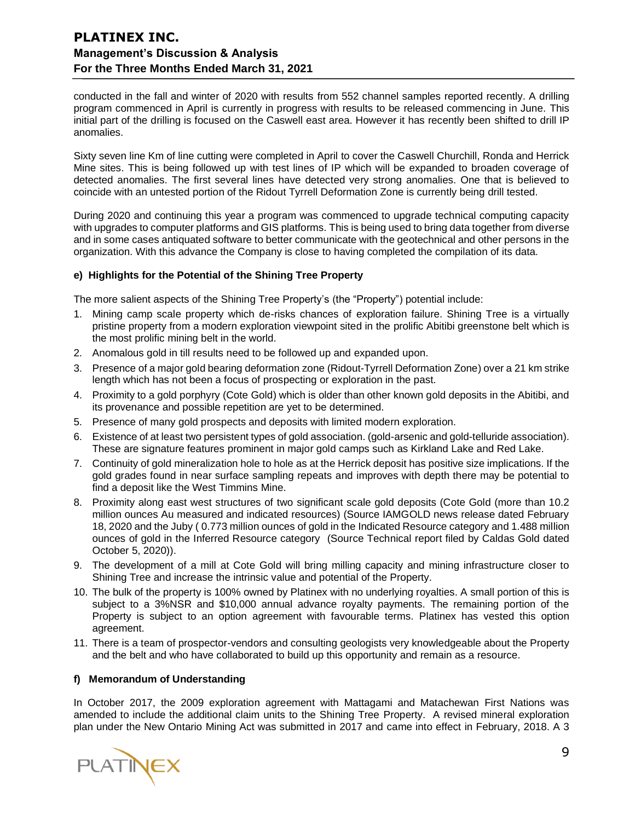conducted in the fall and winter of 2020 with results from 552 channel samples reported recently. A drilling program commenced in April is currently in progress with results to be released commencing in June. This initial part of the drilling is focused on the Caswell east area. However it has recently been shifted to drill IP anomalies.

Sixty seven line Km of line cutting were completed in April to cover the Caswell Churchill, Ronda and Herrick Mine sites. This is being followed up with test lines of IP which will be expanded to broaden coverage of detected anomalies. The first several lines have detected very strong anomalies. One that is believed to coincide with an untested portion of the Ridout Tyrrell Deformation Zone is currently being drill tested.

During 2020 and continuing this year a program was commenced to upgrade technical computing capacity with upgrades to computer platforms and GIS platforms. This is being used to bring data together from diverse and in some cases antiquated software to better communicate with the geotechnical and other persons in the organization. With this advance the Company is close to having completed the compilation of its data.

#### **e) Highlights for the Potential of the Shining Tree Property**

The more salient aspects of the Shining Tree Property's (the "Property") potential include:

- 1. Mining camp scale property which de-risks chances of exploration failure. Shining Tree is a virtually pristine property from a modern exploration viewpoint sited in the prolific Abitibi greenstone belt which is the most prolific mining belt in the world.
- 2. Anomalous gold in till results need to be followed up and expanded upon.
- 3. Presence of a major gold bearing deformation zone (Ridout-Tyrrell Deformation Zone) over a 21 km strike length which has not been a focus of prospecting or exploration in the past.
- 4. Proximity to a gold porphyry (Cote Gold) which is older than other known gold deposits in the Abitibi, and its provenance and possible repetition are yet to be determined.
- 5. Presence of many gold prospects and deposits with limited modern exploration.
- 6. Existence of at least two persistent types of gold association. (gold-arsenic and gold-telluride association). These are signature features prominent in major gold camps such as Kirkland Lake and Red Lake.
- 7. Continuity of gold mineralization hole to hole as at the Herrick deposit has positive size implications. If the gold grades found in near surface sampling repeats and improves with depth there may be potential to find a deposit like the West Timmins Mine.
- 8. Proximity along east west structures of two significant scale gold deposits (Cote Gold (more than 10.2 million ounces Au measured and indicated resources) (Source IAMGOLD news release dated February 18, 2020 and the Juby ( 0.773 million ounces of gold in the Indicated Resource category and 1.488 million ounces of gold in the Inferred Resource category (Source Technical report filed by Caldas Gold dated October 5, 2020)).
- 9. The development of a mill at Cote Gold will bring milling capacity and mining infrastructure closer to Shining Tree and increase the intrinsic value and potential of the Property.
- 10. The bulk of the property is 100% owned by Platinex with no underlying royalties. A small portion of this is subject to a 3%NSR and \$10,000 annual advance royalty payments. The remaining portion of the Property is subject to an option agreement with favourable terms. Platinex has vested this option agreement.
- 11. There is a team of prospector-vendors and consulting geologists very knowledgeable about the Property and the belt and who have collaborated to build up this opportunity and remain as a resource.

#### **f) Memorandum of Understanding**

In October 2017, the 2009 exploration agreement with Mattagami and Matachewan First Nations was amended to include the additional claim units to the Shining Tree Property. A revised mineral exploration plan under the New Ontario Mining Act was submitted in 2017 and came into effect in February, 2018. A 3

**PLATINEX**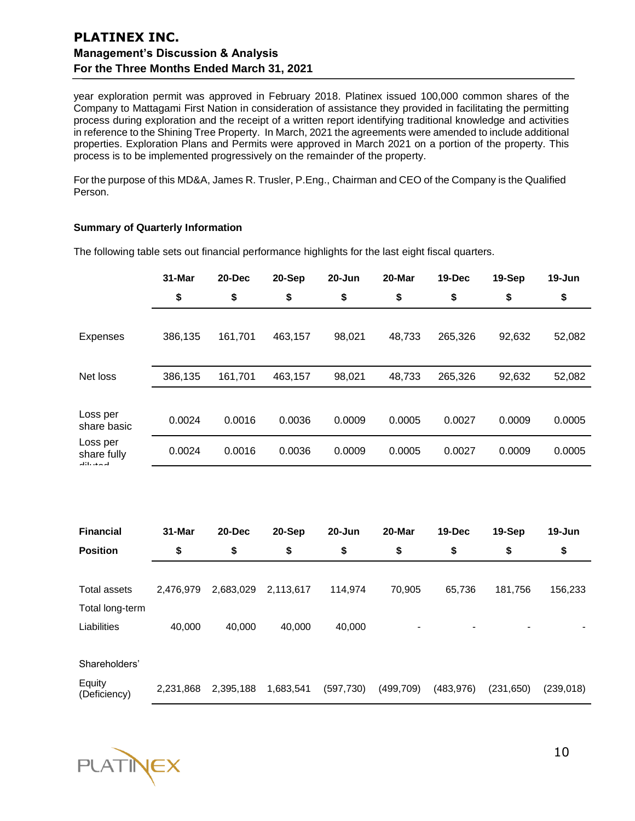year exploration permit was approved in February 2018. Platinex issued 100,000 common shares of the Company to Mattagami First Nation in consideration of assistance they provided in facilitating the permitting process during exploration and the receipt of a written report identifying traditional knowledge and activities in reference to the Shining Tree Property. In March, 2021 the agreements were amended to include additional properties. Exploration Plans and Permits were approved in March 2021 on a portion of the property. This process is to be implemented progressively on the remainder of the property.

For the purpose of this MD&A, James R. Trusler, P.Eng., Chairman and CEO of the Company is the Qualified Person.

#### **Summary of Quarterly Information**

|                                        | 31-Mar    | 20-Dec    | 20-Sep    | $20 - Jun$ | 20-Mar     | 19-Dec     | 19-Sep     | 19-Jun     |
|----------------------------------------|-----------|-----------|-----------|------------|------------|------------|------------|------------|
|                                        | \$        | \$        | \$        | \$         | \$         | \$         | \$         | \$         |
| <b>Expenses</b>                        | 386,135   | 161,701   | 463,157   | 98,021     | 48,733     | 265,326    | 92,632     | 52,082     |
| Net loss                               | 386,135   | 161,701   | 463,157   | 98,021     | 48,733     | 265,326    | 92,632     | 52,082     |
| Loss per<br>share basic                | 0.0024    | 0.0016    | 0.0036    | 0.0009     | 0.0005     | 0.0027     | 0.0009     | 0.0005     |
| Loss per<br>share fully<br>أمصه بالله  | 0.0024    | 0.0016    | 0.0036    | 0.0009     | 0.0005     | 0.0027     | 0.0009     | 0.0005     |
|                                        |           |           |           |            |            |            |            |            |
| <b>Financial</b>                       | 31-Mar    | 20-Dec    | 20-Sep    | 20-Jun     | 20-Mar     | 19-Dec     | 19-Sep     | 19-Jun     |
| <b>Position</b>                        | \$        | \$        | \$        | \$         | \$         | \$         | \$         | \$         |
| <b>Total assets</b><br>Total long-term | 2,476,979 | 2,683,029 | 2,113,617 | 114,974    | 70,905     | 65,736     | 181,756    | 156,233    |
| Liabilities                            | 40,000    | 40,000    | 40,000    | 40,000     |            |            |            |            |
| Shareholders'                          |           |           |           |            |            |            |            |            |
| Equity<br>(Deficiency)                 | 2,231,868 | 2,395,188 | 1,683,541 | (597, 730) | (499, 709) | (483, 976) | (231, 650) | (239, 018) |

The following table sets out financial performance highlights for the last eight fiscal quarters.

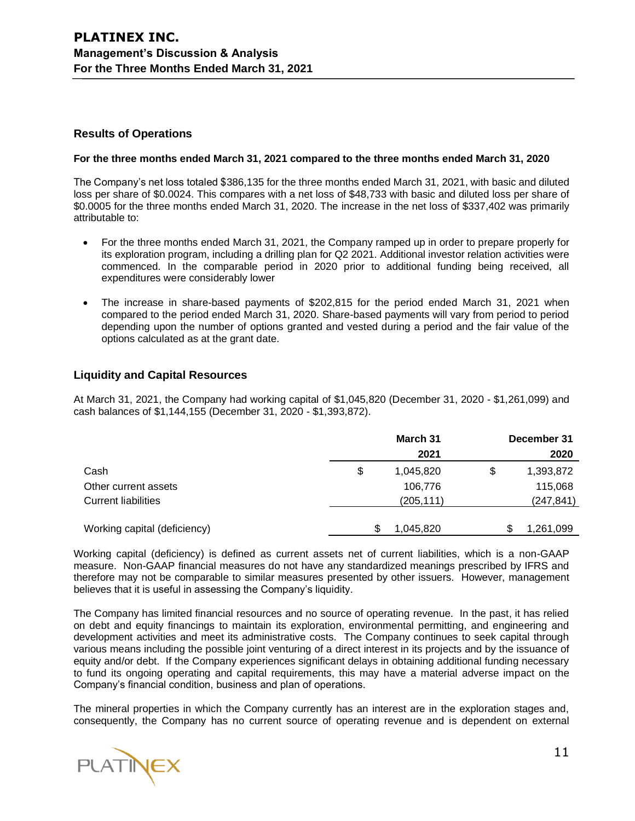## **Results of Operations**

#### **For the three months ended March 31, 2021 compared to the three months ended March 31, 2020**

The Company's net loss totaled \$386,135 for the three months ended March 31, 2021, with basic and diluted loss per share of \$0.0024. This compares with a net loss of \$48,733 with basic and diluted loss per share of \$0.0005 for the three months ended March 31, 2020. The increase in the net loss of \$337,402 was primarily attributable to:

- For the three months ended March 31, 2021, the Company ramped up in order to prepare properly for its exploration program, including a drilling plan for Q2 2021. Additional investor relation activities were commenced. In the comparable period in 2020 prior to additional funding being received, all expenditures were considerably lower
- The increase in share-based payments of \$202,815 for the period ended March 31, 2021 when compared to the period ended March 31, 2020. Share-based payments will vary from period to period depending upon the number of options granted and vested during a period and the fair value of the options calculated as at the grant date.

# **Liquidity and Capital Resources**

At March 31, 2021, the Company had working capital of \$1,045,820 (December 31, 2020 - \$1,261,099) and cash balances of \$1,144,155 (December 31, 2020 - \$1,393,872).

| December 31 |  |
|-------------|--|
| 2020        |  |
| 1,393,872   |  |
| 115,068     |  |
| (247, 841)  |  |
|             |  |
| 1,261,099   |  |
|             |  |

Working capital (deficiency) is defined as current assets net of current liabilities, which is a non-GAAP measure. Non-GAAP financial measures do not have any standardized meanings prescribed by IFRS and therefore may not be comparable to similar measures presented by other issuers. However, management believes that it is useful in assessing the Company's liquidity.

The Company has limited financial resources and no source of operating revenue. In the past, it has relied on debt and equity financings to maintain its exploration, environmental permitting, and engineering and development activities and meet its administrative costs. The Company continues to seek capital through various means including the possible joint venturing of a direct interest in its projects and by the issuance of equity and/or debt. If the Company experiences significant delays in obtaining additional funding necessary to fund its ongoing operating and capital requirements, this may have a material adverse impact on the Company's financial condition, business and plan of operations.

The mineral properties in which the Company currently has an interest are in the exploration stages and, consequently, the Company has no current source of operating revenue and is dependent on external

**PLATINEX**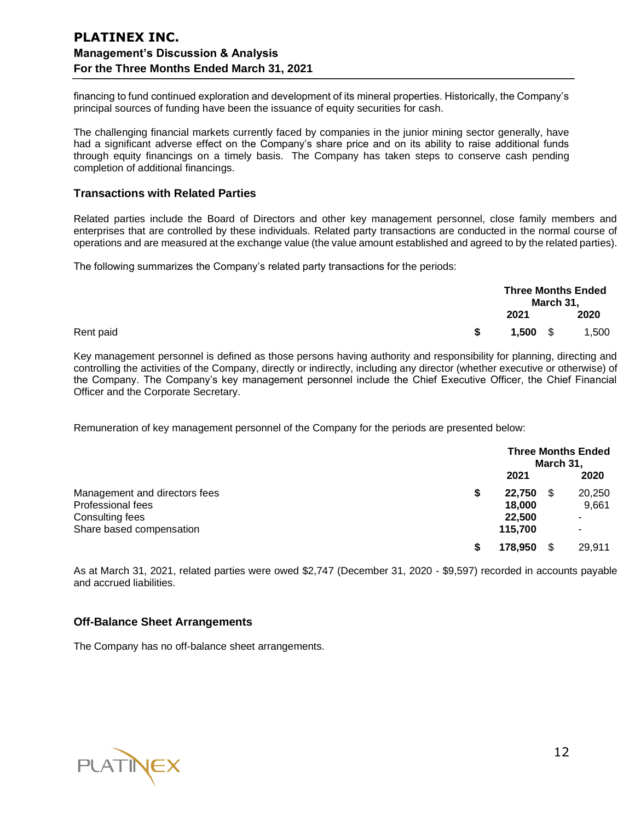financing to fund continued exploration and development of its mineral properties. Historically, the Company's principal sources of funding have been the issuance of equity securities for cash.

The challenging financial markets currently faced by companies in the junior mining sector generally, have had a significant adverse effect on the Company's share price and on its ability to raise additional funds through equity financings on a timely basis. The Company has taken steps to conserve cash pending completion of additional financings.

### **Transactions with Related Parties**

Related parties include the Board of Directors and other key management personnel, close family members and enterprises that are controlled by these individuals. Related party transactions are conducted in the normal course of operations and are measured at the exchange value (the value amount established and agreed to by the related parties).

The following summarizes the Company's related party transactions for the periods:

|           |      | <b>Three Months Ended</b><br>March 31, |       |  |
|-----------|------|----------------------------------------|-------|--|
|           | 2021 |                                        | 2020  |  |
| Rent paid |      | $1,500$ \$                             | 1,500 |  |

Key management personnel is defined as those persons having authority and responsibility for planning, directing and controlling the activities of the Company, directly or indirectly, including any director (whether executive or otherwise) of the Company. The Company's key management personnel include the Chief Executive Officer, the Chief Financial Officer and the Corporate Secretary.

Remuneration of key management personnel of the Company for the periods are presented below:

|                               |   | <b>Three Months Ended</b><br>March 31, |    |        |
|-------------------------------|---|----------------------------------------|----|--------|
|                               |   | 2021                                   |    | 2020   |
| Management and directors fees | S | 22,750                                 | S. | 20,250 |
| Professional fees             |   | 18,000                                 |    | 9,661  |
| Consulting fees               |   | 22,500                                 |    | ۰      |
| Share based compensation      |   | 115.700                                |    | -      |
|                               | S | 178,950                                |    | 29,911 |

As at March 31, 2021, related parties were owed \$2,747 (December 31, 2020 ‑ \$9,597) recorded in accounts payable and accrued liabilities.

## **Off-Balance Sheet Arrangements**

The Company has no off-balance sheet arrangements.

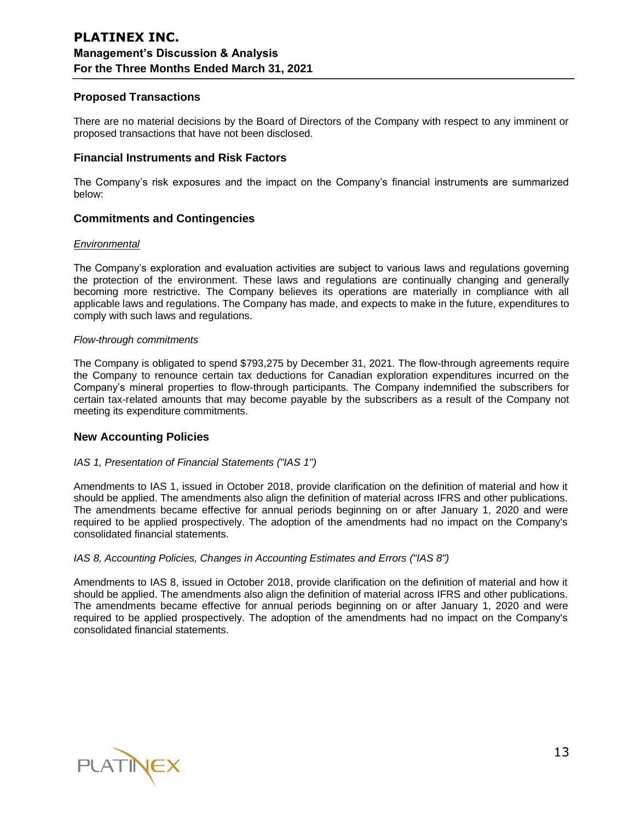# **Proposed Transactions**

There are no material decisions by the Board of Directors of the Company with respect to any imminent or proposed transactions that have not been disclosed.

## **Financial Instruments and Risk Factors**

The Company's risk exposures and the impact on the Company's financial instruments are summarized below:

# **Commitments and Contingencies**

#### *Environmental*

The Company's exploration and evaluation activities are subject to various laws and regulations governing the protection of the environment. These laws and regulations are continually changing and generally becoming more restrictive. The Company believes its operations are materially in compliance with all applicable laws and regulations. The Company has made, and expects to make in the future, expenditures to comply with such laws and regulations.

#### *Flow-through commitments*

The Company is obligated to spend \$793,275 by December 31, 2021. The flow-through agreements require the Company to renounce certain tax deductions for Canadian exploration expenditures incurred on the Company's mineral properties to flow-through participants. The Company indemnified the subscribers for certain tax-related amounts that may become payable by the subscribers as a result of the Company not meeting its expenditure commitments.

## **New Accounting Policies**

## *IAS 1, Presentation of Financial Statements ("IAS 1")*

Amendments to IAS 1, issued in October 2018, provide clarification on the definition of material and how it should be applied. The amendments also align the definition of material across IFRS and other publications. The amendments became effective for annual periods beginning on or after January 1, 2020 and were required to be applied prospectively. The adoption of the amendments had no impact on the Company's consolidated financial statements.

## *IAS 8, Accounting Policies, Changes in Accounting Estimates and Errors ("IAS 8")*

Amendments to IAS 8, issued in October 2018, provide clarification on the definition of material and how it should be applied. The amendments also align the definition of material across IFRS and other publications. The amendments became effective for annual periods beginning on or after January 1, 2020 and were required to be applied prospectively. The adoption of the amendments had no impact on the Company's consolidated financial statements.

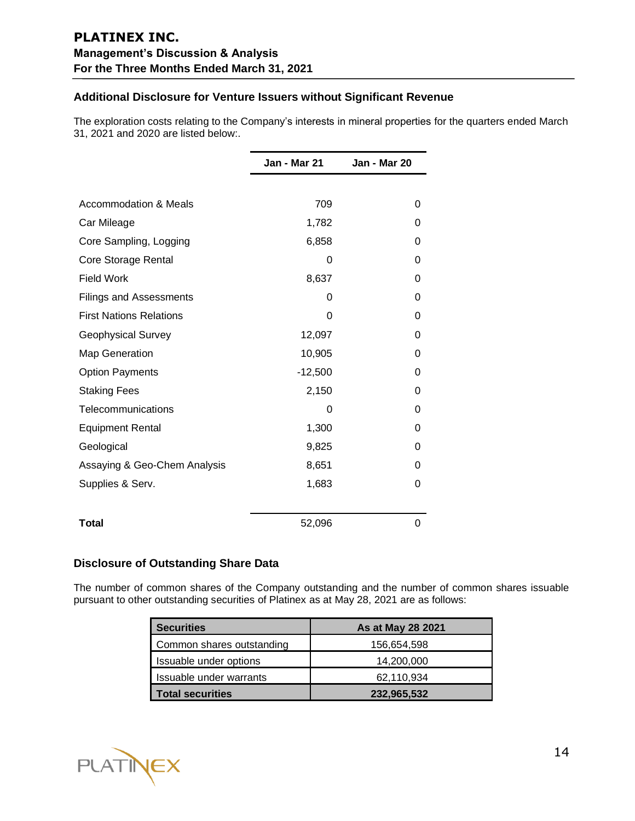# **Additional Disclosure for Venture Issuers without Significant Revenue**

The exploration costs relating to the Company's interests in mineral properties for the quarters ended March 31, 2021 and 2020 are listed below:.

|                                  | Jan - Mar 21 | Jan - Mar 20 |
|----------------------------------|--------------|--------------|
|                                  |              |              |
| <b>Accommodation &amp; Meals</b> | 709          | 0            |
| Car Mileage                      | 1,782        | 0            |
| Core Sampling, Logging           | 6,858        | 0            |
| Core Storage Rental              | 0            | 0            |
| <b>Field Work</b>                | 8,637        | 0            |
| <b>Filings and Assessments</b>   | 0            | 0            |
| <b>First Nations Relations</b>   | 0            | 0            |
| Geophysical Survey               | 12,097       | 0            |
| Map Generation                   | 10,905       | 0            |
| <b>Option Payments</b>           | $-12,500$    | 0            |
| <b>Staking Fees</b>              | 2,150        | 0            |
| Telecommunications               | 0            | 0            |
| <b>Equipment Rental</b>          | 1,300        | 0            |
| Geological                       | 9,825        | 0            |
| Assaying & Geo-Chem Analysis     | 8,651        | 0            |
| Supplies & Serv.                 | 1,683        | 0            |
| <b>Total</b>                     | 52,096       | 0            |

# **Disclosure of Outstanding Share Data**

The number of common shares of the Company outstanding and the number of common shares issuable pursuant to other outstanding securities of Platinex as at May 28, 2021 are as follows:

| <b>Securities</b>         | As at May 28 2021 |
|---------------------------|-------------------|
| Common shares outstanding | 156,654,598       |
| Issuable under options    | 14,200,000        |
| Issuable under warrants   | 62,110,934        |
| <b>Total securities</b>   | 232,965,532       |

PLATINEX